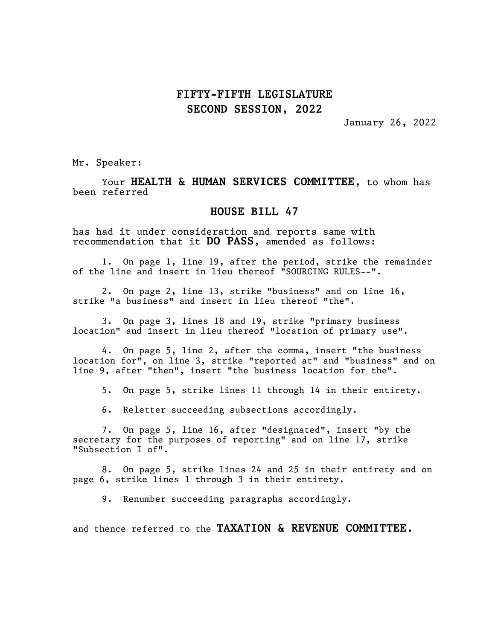## FIFTY-FIFTH LEGISLATURE SECOND SESSION, 2022

January 26, 2022

Mr. Speaker:

Your HEALTH & HUMAN SERVICES COMMITTEE, to whom has been referred

## HOUSE BILL 47

has had it under consideration and reports same with recommendation that it DO PASS, amended as follows:

1. On page 1, line 19, after the period, strike the remainder of the line and insert in lieu thereof "SOURCING RULES--".

2. On page 2, line 13, strike "business" and on line 16, strike "a business" and insert in lieu thereof "the".

3. On page 3, lines 18 and 19, strike "primary business location" and insert in lieu thereof "location of primary use".

4. On page 5, line 2, after the comma, insert "the business location for", on line 3, strike "reported at" and "business" and on line 9, after "then", insert "the business location for the".

5. On page 5, strike lines 11 through 14 in their entirety.

6. Reletter succeeding subsections accordingly.

7. On page 5, line 16, after "designated", insert "by the secretary for the purposes of reporting" and on line 17, strike "Subsection I of".

8. On page 5, strike lines 24 and 25 in their entirety and on page 6, strike lines 1 through 3 in their entirety.

9. Renumber succeeding paragraphs accordingly.

and thence referred to the TAXATION & REVENUE COMMITTEE.